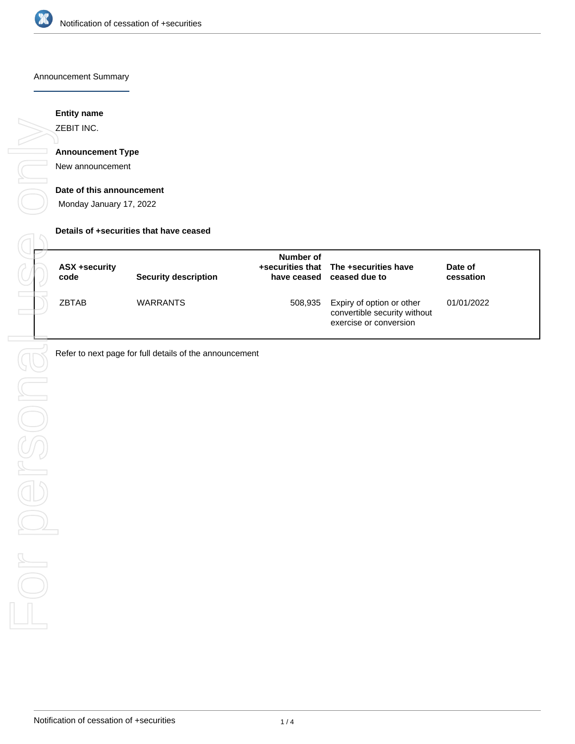

#### Announcement Summary

# **Entity name**

ZEBIT INC.

# **Announcement Type**

New announcement

#### **Date of this announcement**

Monday January 17, 2022

#### **Details of +securities that have ceased**

| ASX +security<br>code | <b>Security description</b> | Number of | +securities that The +securities have<br>have ceased ceased due to                  | Date of<br>cessation |
|-----------------------|-----------------------------|-----------|-------------------------------------------------------------------------------------|----------------------|
| <b>ZBTAB</b>          | <b>WARRANTS</b>             | 508,935   | Expiry of option or other<br>convertible security without<br>exercise or conversion | 01/01/2022           |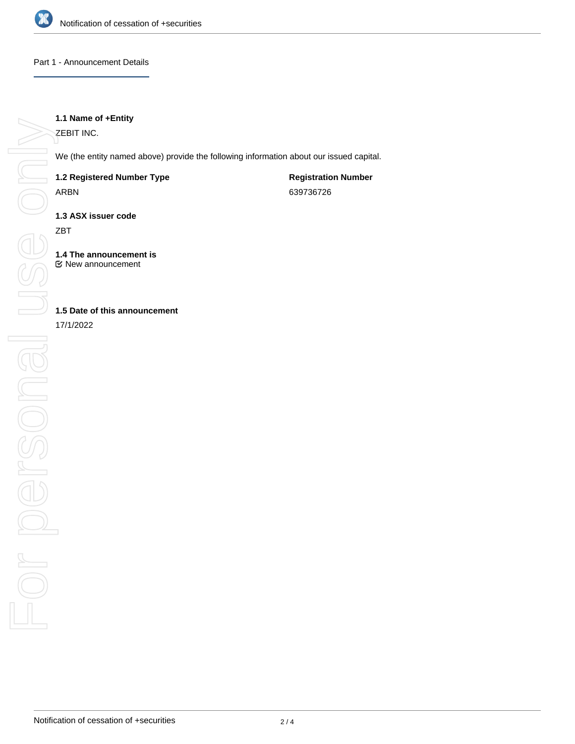

## Part 1 - Announcement Details

# **1.1 Name of +Entity**

ZEBIT INC.

We (the entity named above) provide the following information about our issued capital.

# **1.2 Registered Number Type**

ARBN

**Registration Number** 639736726

**1.3 ASX issuer code**

ZBT

**1.4 The announcement is** New announcement

# **1.5 Date of this announcement**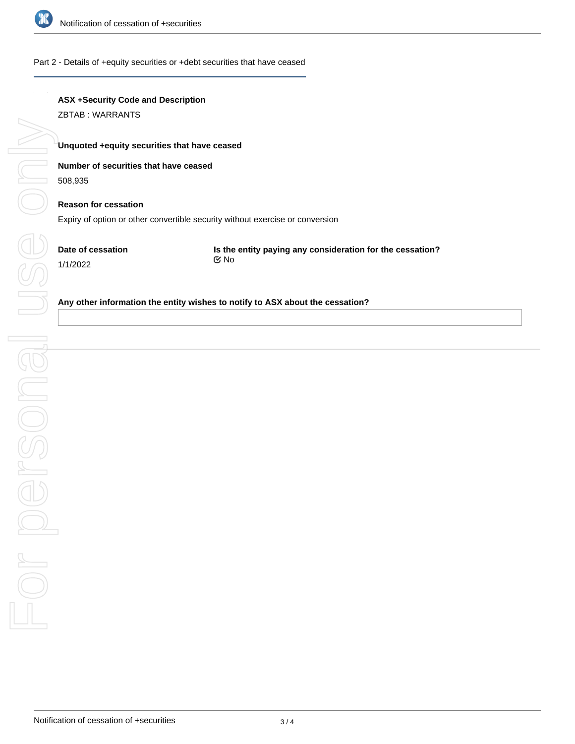

### Part 2 - Details of +equity securities or +debt securities that have ceased

# **ASX +Security Code and Description**

ZBTAB : WARRANTS

## **Unquoted +equity securities that have ceased**

# **Number of securities that have ceased**

508,935

# **Reason for cessation**

Expiry of option or other convertible security without exercise or conversion

**Date of cessation** 1/1/2022

**Is the entity paying any consideration for the cessation?** No

### **Any other information the entity wishes to notify to ASX about the cessation?**